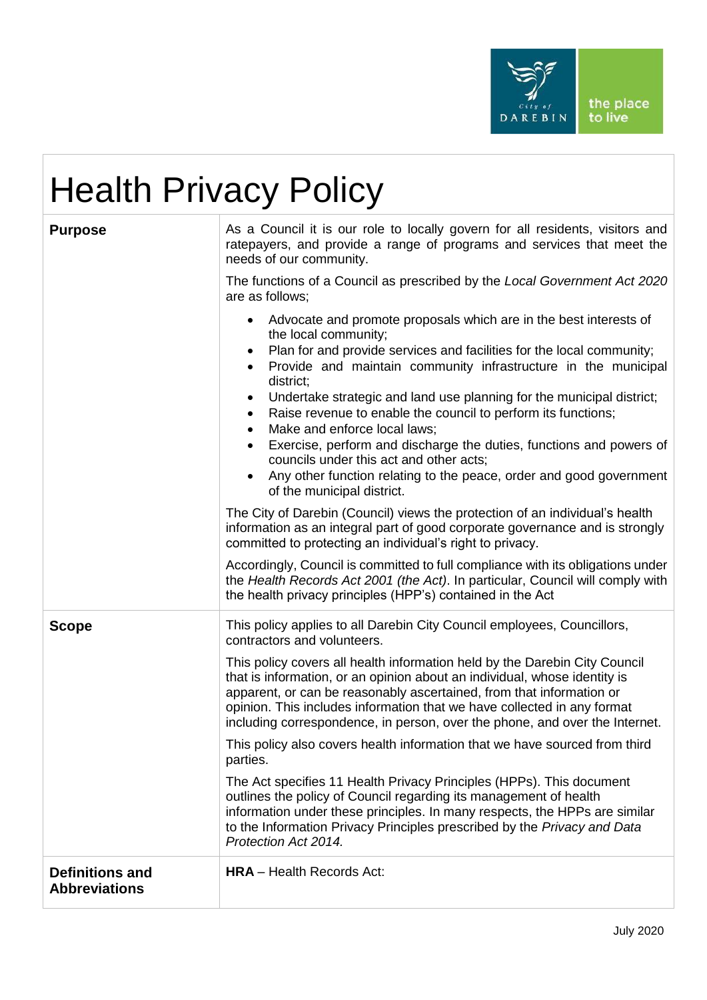

# Health Privacy Policy

| <b>Purpose</b>                                 | As a Council it is our role to locally govern for all residents, visitors and<br>ratepayers, and provide a range of programs and services that meet the<br>needs of our community.<br>The functions of a Council as prescribed by the Local Government Act 2020<br>are as follows;<br>Advocate and promote proposals which are in the best interests of<br>the local community;<br>Plan for and provide services and facilities for the local community;<br>$\bullet$<br>Provide and maintain community infrastructure in the municipal<br>district;<br>Undertake strategic and land use planning for the municipal district;<br>$\bullet$<br>Raise revenue to enable the council to perform its functions;<br>$\bullet$<br>Make and enforce local laws;<br>$\bullet$<br>Exercise, perform and discharge the duties, functions and powers of<br>councils under this act and other acts;<br>Any other function relating to the peace, order and good government<br>of the municipal district.<br>The City of Darebin (Council) views the protection of an individual's health<br>information as an integral part of good corporate governance and is strongly<br>committed to protecting an individual's right to privacy.<br>Accordingly, Council is committed to full compliance with its obligations under<br>the Health Records Act 2001 (the Act). In particular, Council will comply with |
|------------------------------------------------|------------------------------------------------------------------------------------------------------------------------------------------------------------------------------------------------------------------------------------------------------------------------------------------------------------------------------------------------------------------------------------------------------------------------------------------------------------------------------------------------------------------------------------------------------------------------------------------------------------------------------------------------------------------------------------------------------------------------------------------------------------------------------------------------------------------------------------------------------------------------------------------------------------------------------------------------------------------------------------------------------------------------------------------------------------------------------------------------------------------------------------------------------------------------------------------------------------------------------------------------------------------------------------------------------------------------------------------------------------------------------------------------|
| <b>Scope</b>                                   | the health privacy principles (HPP's) contained in the Act<br>This policy applies to all Darebin City Council employees, Councillors,<br>contractors and volunteers.<br>This policy covers all health information held by the Darebin City Council<br>that is information, or an opinion about an individual, whose identity is<br>apparent, or can be reasonably ascertained, from that information or<br>opinion. This includes information that we have collected in any format<br>including correspondence, in person, over the phone, and over the Internet.<br>This policy also covers health information that we have sourced from third<br>parties.<br>The Act specifies 11 Health Privacy Principles (HPPs). This document<br>outlines the policy of Council regarding its management of health<br>information under these principles. In many respects, the HPPs are similar<br>to the Information Privacy Principles prescribed by the Privacy and Data<br>Protection Act 2014.                                                                                                                                                                                                                                                                                                                                                                                                     |
| <b>Definitions and</b><br><b>Abbreviations</b> | <b>HRA</b> - Health Records Act:                                                                                                                                                                                                                                                                                                                                                                                                                                                                                                                                                                                                                                                                                                                                                                                                                                                                                                                                                                                                                                                                                                                                                                                                                                                                                                                                                               |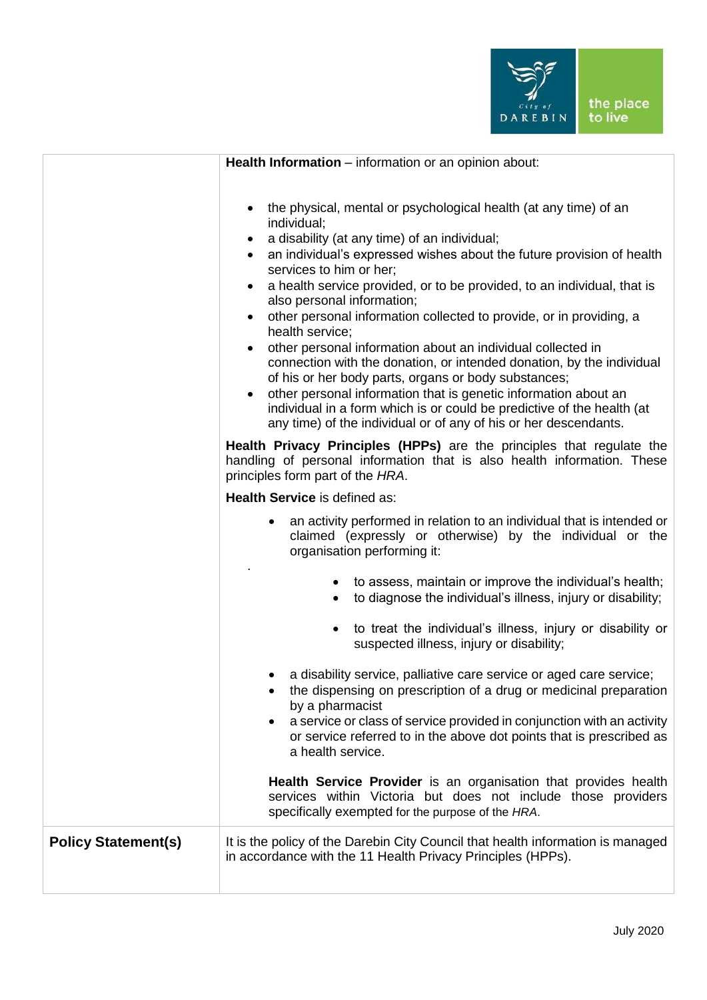

|                            | Health Information - information or an opinion about:                                                                                                                                                                                                                                                                                                                                                                                                                                                                                                                                                                                                                                                                                                                                                                                                                             |
|----------------------------|-----------------------------------------------------------------------------------------------------------------------------------------------------------------------------------------------------------------------------------------------------------------------------------------------------------------------------------------------------------------------------------------------------------------------------------------------------------------------------------------------------------------------------------------------------------------------------------------------------------------------------------------------------------------------------------------------------------------------------------------------------------------------------------------------------------------------------------------------------------------------------------|
|                            | the physical, mental or psychological health (at any time) of an<br>individual;<br>a disability (at any time) of an individual;<br>$\bullet$<br>an individual's expressed wishes about the future provision of health<br>$\bullet$<br>services to him or her;<br>a health service provided, or to be provided, to an individual, that is<br>also personal information;<br>other personal information collected to provide, or in providing, a<br>health service;<br>other personal information about an individual collected in<br>connection with the donation, or intended donation, by the individual<br>of his or her body parts, organs or body substances;<br>other personal information that is genetic information about an<br>individual in a form which is or could be predictive of the health (at<br>any time) of the individual or of any of his or her descendants. |
|                            | Health Privacy Principles (HPPs) are the principles that regulate the<br>handling of personal information that is also health information. These<br>principles form part of the HRA.                                                                                                                                                                                                                                                                                                                                                                                                                                                                                                                                                                                                                                                                                              |
|                            | Health Service is defined as:                                                                                                                                                                                                                                                                                                                                                                                                                                                                                                                                                                                                                                                                                                                                                                                                                                                     |
|                            | an activity performed in relation to an individual that is intended or<br>$\bullet$<br>claimed (expressly or otherwise) by the individual or the<br>organisation performing it:                                                                                                                                                                                                                                                                                                                                                                                                                                                                                                                                                                                                                                                                                                   |
|                            | to assess, maintain or improve the individual's health;<br>to diagnose the individual's illness, injury or disability;                                                                                                                                                                                                                                                                                                                                                                                                                                                                                                                                                                                                                                                                                                                                                            |
|                            | to treat the individual's illness, injury or disability or<br>suspected illness, injury or disability;                                                                                                                                                                                                                                                                                                                                                                                                                                                                                                                                                                                                                                                                                                                                                                            |
|                            | a disability service, palliative care service or aged care service;<br>the dispensing on prescription of a drug or medicinal preparation<br>by a pharmacist<br>a service or class of service provided in conjunction with an activity<br>$\bullet$<br>or service referred to in the above dot points that is prescribed as<br>a health service.                                                                                                                                                                                                                                                                                                                                                                                                                                                                                                                                   |
|                            | Health Service Provider is an organisation that provides health<br>services within Victoria but does not include those providers<br>specifically exempted for the purpose of the HRA.                                                                                                                                                                                                                                                                                                                                                                                                                                                                                                                                                                                                                                                                                             |
| <b>Policy Statement(s)</b> | It is the policy of the Darebin City Council that health information is managed<br>in accordance with the 11 Health Privacy Principles (HPPs).                                                                                                                                                                                                                                                                                                                                                                                                                                                                                                                                                                                                                                                                                                                                    |
|                            |                                                                                                                                                                                                                                                                                                                                                                                                                                                                                                                                                                                                                                                                                                                                                                                                                                                                                   |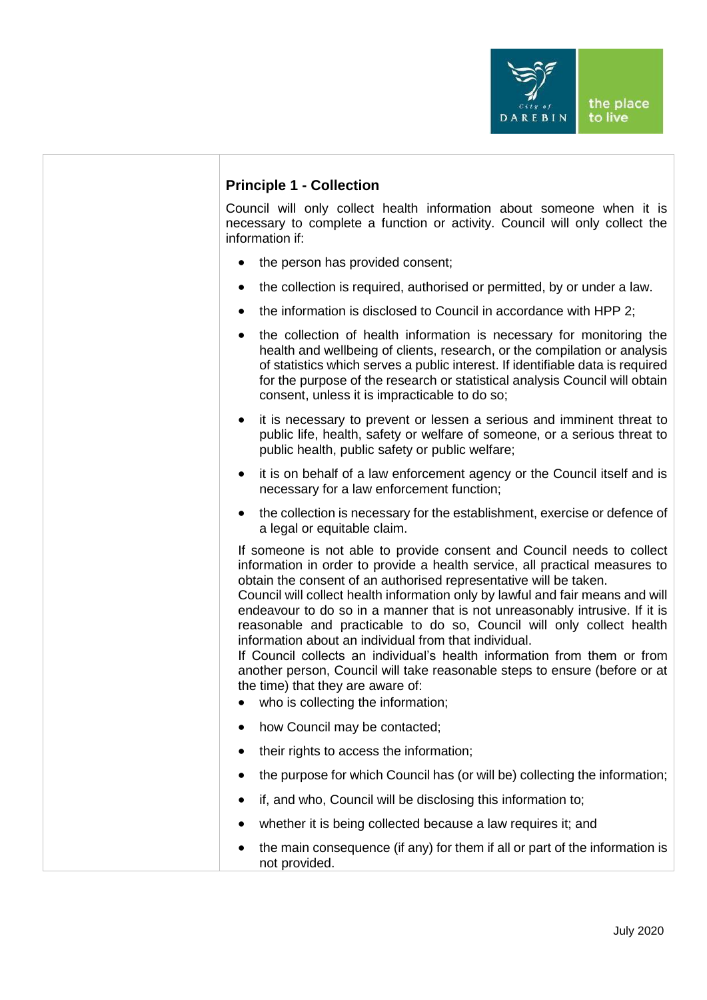

# **Principle 1 - Collection**

Council will only collect health information about someone when it is necessary to complete a function or activity. Council will only collect the information if:

- the person has provided consent;
- the collection is required, authorised or permitted, by or under a law.
- the information is disclosed to Council in accordance with HPP 2:
- the collection of health information is necessary for monitoring the health and wellbeing of clients, research, or the compilation or analysis of statistics which serves a public interest. If identifiable data is required for the purpose of the research or statistical analysis Council will obtain consent, unless it is impracticable to do so;
- it is necessary to prevent or lessen a serious and imminent threat to public life, health, safety or welfare of someone, or a serious threat to public health, public safety or public welfare;
- it is on behalf of a law enforcement agency or the Council itself and is necessary for a law enforcement function;
- the collection is necessary for the establishment, exercise or defence of a legal or equitable claim.

If someone is not able to provide consent and Council needs to collect information in order to provide a health service, all practical measures to obtain the consent of an authorised representative will be taken.

Council will collect health information only by lawful and fair means and will endeavour to do so in a manner that is not unreasonably intrusive. If it is reasonable and practicable to do so, Council will only collect health information about an individual from that individual.

If Council collects an individual's health information from them or from another person, Council will take reasonable steps to ensure (before or at the time) that they are aware of:

- who is collecting the information;
- how Council may be contacted;
- their rights to access the information;
- the purpose for which Council has (or will be) collecting the information;
- if, and who, Council will be disclosing this information to;
- whether it is being collected because a law requires it; and
- the main consequence (if any) for them if all or part of the information is not provided.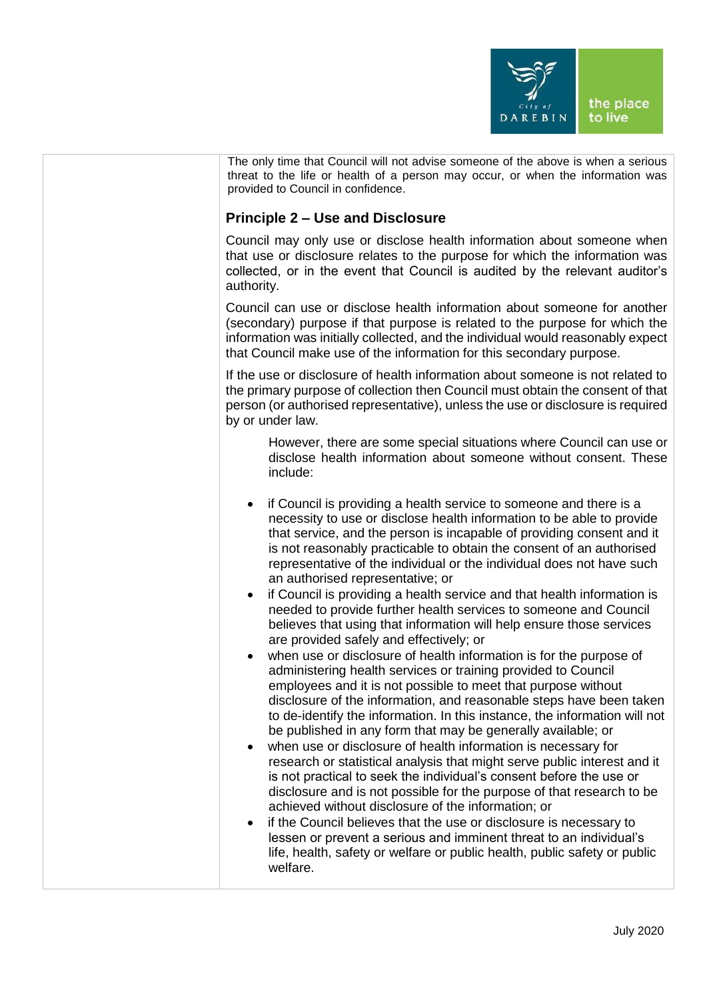

| The only time that Council will not advise someone of the above is when a serious<br>threat to the life or health of a person may occur, or when the information was<br>provided to Council in confidence.                                                                                                                                                                                                                                                                                                                                                                                                                                                                                                                                                                                                                                                                                                                                                                                                                                                                                                                                                                                                                                                                                                                                                                                                                                                                                                                                                                                                                                                                                                                                           |
|------------------------------------------------------------------------------------------------------------------------------------------------------------------------------------------------------------------------------------------------------------------------------------------------------------------------------------------------------------------------------------------------------------------------------------------------------------------------------------------------------------------------------------------------------------------------------------------------------------------------------------------------------------------------------------------------------------------------------------------------------------------------------------------------------------------------------------------------------------------------------------------------------------------------------------------------------------------------------------------------------------------------------------------------------------------------------------------------------------------------------------------------------------------------------------------------------------------------------------------------------------------------------------------------------------------------------------------------------------------------------------------------------------------------------------------------------------------------------------------------------------------------------------------------------------------------------------------------------------------------------------------------------------------------------------------------------------------------------------------------------|
| <b>Principle 2 – Use and Disclosure</b>                                                                                                                                                                                                                                                                                                                                                                                                                                                                                                                                                                                                                                                                                                                                                                                                                                                                                                                                                                                                                                                                                                                                                                                                                                                                                                                                                                                                                                                                                                                                                                                                                                                                                                              |
| Council may only use or disclose health information about someone when<br>that use or disclosure relates to the purpose for which the information was<br>collected, or in the event that Council is audited by the relevant auditor's<br>authority.                                                                                                                                                                                                                                                                                                                                                                                                                                                                                                                                                                                                                                                                                                                                                                                                                                                                                                                                                                                                                                                                                                                                                                                                                                                                                                                                                                                                                                                                                                  |
| Council can use or disclose health information about someone for another<br>(secondary) purpose if that purpose is related to the purpose for which the<br>information was initially collected, and the individual would reasonably expect<br>that Council make use of the information for this secondary purpose.                                                                                                                                                                                                                                                                                                                                                                                                                                                                                                                                                                                                                                                                                                                                                                                                                                                                                                                                                                                                                                                                                                                                                                                                                                                                                                                                                                                                                                   |
| If the use or disclosure of health information about someone is not related to<br>the primary purpose of collection then Council must obtain the consent of that<br>person (or authorised representative), unless the use or disclosure is required<br>by or under law.                                                                                                                                                                                                                                                                                                                                                                                                                                                                                                                                                                                                                                                                                                                                                                                                                                                                                                                                                                                                                                                                                                                                                                                                                                                                                                                                                                                                                                                                              |
| However, there are some special situations where Council can use or<br>disclose health information about someone without consent. These<br>include:                                                                                                                                                                                                                                                                                                                                                                                                                                                                                                                                                                                                                                                                                                                                                                                                                                                                                                                                                                                                                                                                                                                                                                                                                                                                                                                                                                                                                                                                                                                                                                                                  |
| if Council is providing a health service to someone and there is a<br>$\bullet$<br>necessity to use or disclose health information to be able to provide<br>that service, and the person is incapable of providing consent and it<br>is not reasonably practicable to obtain the consent of an authorised<br>representative of the individual or the individual does not have such<br>an authorised representative; or<br>if Council is providing a health service and that health information is<br>$\bullet$<br>needed to provide further health services to someone and Council<br>believes that using that information will help ensure those services<br>are provided safely and effectively; or<br>when use or disclosure of health information is for the purpose of<br>$\bullet$<br>administering health services or training provided to Council<br>employees and it is not possible to meet that purpose without<br>disclosure of the information, and reasonable steps have been taken<br>to de-identify the information. In this instance, the information will not<br>be published in any form that may be generally available; or<br>when use or disclosure of health information is necessary for<br>research or statistical analysis that might serve public interest and it<br>is not practical to seek the individual's consent before the use or<br>disclosure and is not possible for the purpose of that research to be<br>achieved without disclosure of the information; or<br>if the Council believes that the use or disclosure is necessary to<br>$\bullet$<br>lessen or prevent a serious and imminent threat to an individual's<br>life, health, safety or welfare or public health, public safety or public<br>welfare. |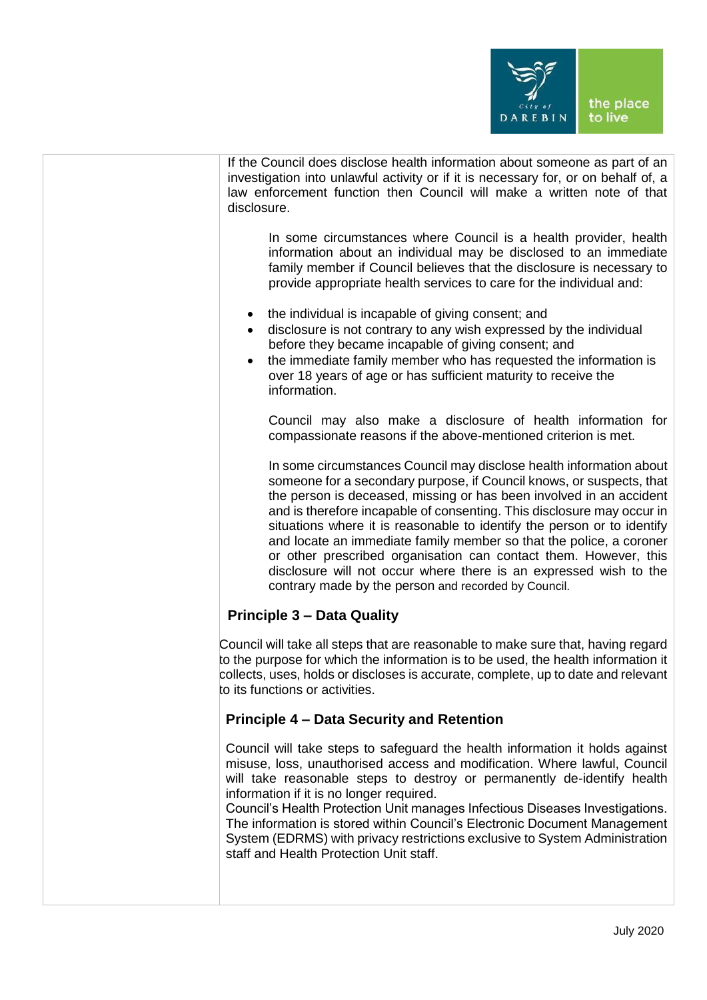

| If the Council does disclose health information about someone as part of an        |
|------------------------------------------------------------------------------------|
|                                                                                    |
| investigation into unlawful activity or if it is necessary for, or on behalf of, a |
|                                                                                    |
| law enforcement function then Council will make a written note of that             |
|                                                                                    |
|                                                                                    |
| disclosure.                                                                        |
|                                                                                    |

In some circumstances where Council is a health provider, health information about an individual may be disclosed to an immediate family member if Council believes that the disclosure is necessary to provide appropriate health services to care for the individual and:

- the individual is incapable of giving consent; and
- disclosure is not contrary to any wish expressed by the individual before they became incapable of giving consent; and
- the immediate family member who has requested the information is over 18 years of age or has sufficient maturity to receive the information.

Council may also make a disclosure of health information for compassionate reasons if the above-mentioned criterion is met.

In some circumstances Council may disclose health information about someone for a secondary purpose, if Council knows, or suspects, that the person is deceased, missing or has been involved in an accident and is therefore incapable of consenting. This disclosure may occur in situations where it is reasonable to identify the person or to identify and locate an immediate family member so that the police, a coroner or other prescribed organisation can contact them. However, this disclosure will not occur where there is an expressed wish to the contrary made by the person and recorded by Council.

# **Principle 3 – Data Quality**

Council will take all steps that are reasonable to make sure that, having regard to the purpose for which the information is to be used, the health information it collects, uses, holds or discloses is accurate, complete, up to date and relevant to its functions or activities.

# **Principle 4 – Data Security and Retention**

Council will take steps to safeguard the health information it holds against misuse, loss, unauthorised access and modification. Where lawful, Council will take reasonable steps to destroy or permanently de-identify health information if it is no longer required.

Council's Health Protection Unit manages Infectious Diseases Investigations. The information is stored within Council's Electronic Document Management System (EDRMS) with privacy restrictions exclusive to System Administration staff and Health Protection Unit staff.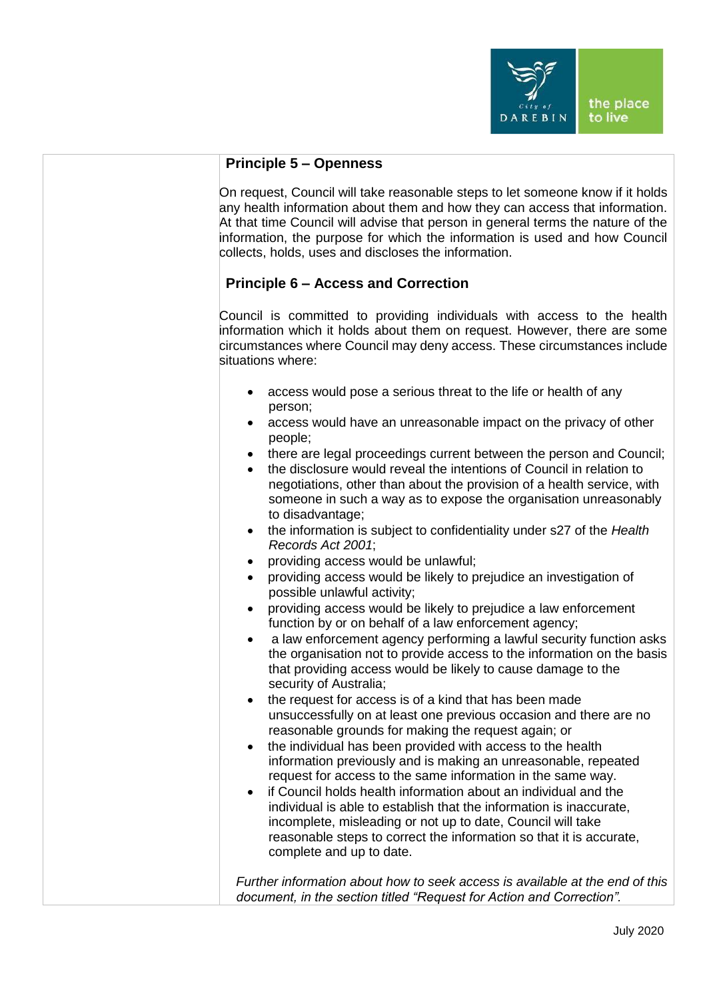

|  | <b>Principle 5 – Openness</b> |
|--|-------------------------------|
|--|-------------------------------|

On request, Council will take reasonable steps to let someone know if it holds any health information about them and how they can access that information. At that time Council will advise that person in general terms the nature of the information, the purpose for which the information is used and how Council collects, holds, uses and discloses the information.

# **Principle 6 – Access and Correction**

Council is committed to providing individuals with access to the health information which it holds about them on request. However, there are some circumstances where Council may deny access. These circumstances include situations where:

- access would pose a serious threat to the life or health of any person;
- access would have an unreasonable impact on the privacy of other people;
- there are legal proceedings current between the person and Council;
- the disclosure would reveal the intentions of Council in relation to negotiations, other than about the provision of a health service, with someone in such a way as to expose the organisation unreasonably to disadvantage;
- the information is subject to confidentiality under s27 of the *Health Records Act 2001*;
- providing access would be unlawful;
- providing access would be likely to prejudice an investigation of possible unlawful activity;
- providing access would be likely to prejudice a law enforcement function by or on behalf of a law enforcement agency;
- a law enforcement agency performing a lawful security function asks the organisation not to provide access to the information on the basis that providing access would be likely to cause damage to the security of Australia;
- the request for access is of a kind that has been made unsuccessfully on at least one previous occasion and there are no reasonable grounds for making the request again; or
- the individual has been provided with access to the health information previously and is making an unreasonable, repeated request for access to the same information in the same way.
- if Council holds health information about an individual and the individual is able to establish that the information is inaccurate, incomplete, misleading or not up to date, Council will take reasonable steps to correct the information so that it is accurate, complete and up to date.

*Further information about how to seek access is available at the end of this document, in the section titled "Request for Action and Correction".*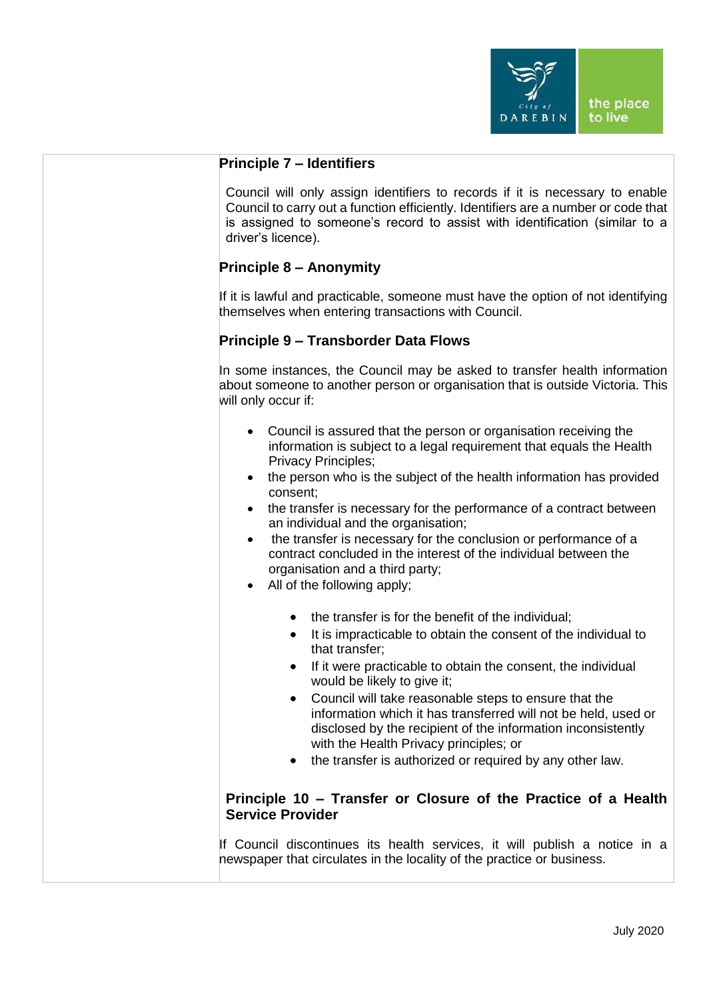

#### **Principle 7 – Identifiers**

Council will only assign identifiers to records if it is necessary to enable Council to carry out a function efficiently. Identifiers are a number or code that is assigned to someone's record to assist with identification (similar to a driver's licence).

# **Principle 8 – Anonymity**

If it is lawful and practicable, someone must have the option of not identifying themselves when entering transactions with Council.

# **Principle 9 – Transborder Data Flows**

In some instances, the Council may be asked to transfer health information about someone to another person or organisation that is outside Victoria. This will only occur if:

- Council is assured that the person or organisation receiving the information is subject to a legal requirement that equals the Health Privacy Principles;
- the person who is the subject of the health information has provided consent;
- the transfer is necessary for the performance of a contract between an individual and the organisation;
- the transfer is necessary for the conclusion or performance of a contract concluded in the interest of the individual between the organisation and a third party;
- All of the following apply;
	- the transfer is for the benefit of the individual;
	- It is impracticable to obtain the consent of the individual to that transfer;
	- If it were practicable to obtain the consent, the individual would be likely to give it;
	- Council will take reasonable steps to ensure that the information which it has transferred will not be held, used or disclosed by the recipient of the information inconsistently with the Health Privacy principles; or
	- the transfer is authorized or required by any other law.

# **Principle 10 – Transfer or Closure of the Practice of a Health Service Provider**

If Council discontinues its health services, it will publish a notice in a newspaper that circulates in the locality of the practice or business.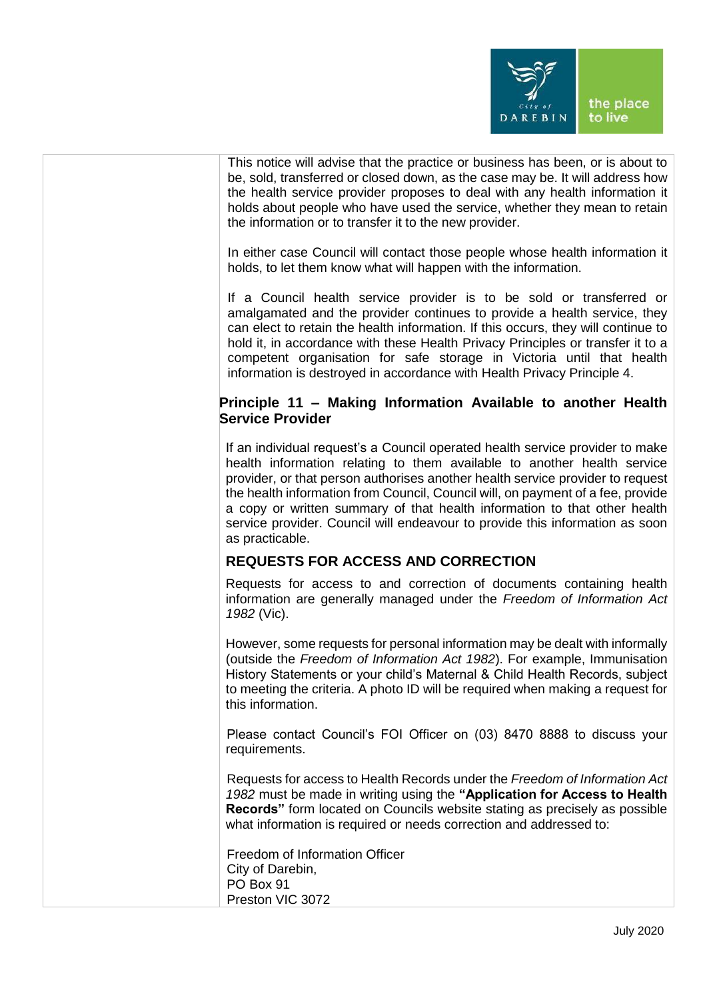

| This notice will advise that the practice or business has been, or is about to<br>be, sold, transferred or closed down, as the case may be. It will address how<br>the health service provider proposes to deal with any health information it<br>holds about people who have used the service, whether they mean to retain<br>the information or to transfer it to the new provider.                                                                                                                         |
|---------------------------------------------------------------------------------------------------------------------------------------------------------------------------------------------------------------------------------------------------------------------------------------------------------------------------------------------------------------------------------------------------------------------------------------------------------------------------------------------------------------|
| In either case Council will contact those people whose health information it<br>holds, to let them know what will happen with the information.                                                                                                                                                                                                                                                                                                                                                                |
| If a Council health service provider is to be sold or transferred or<br>amalgamated and the provider continues to provide a health service, they<br>can elect to retain the health information. If this occurs, they will continue to<br>hold it, in accordance with these Health Privacy Principles or transfer it to a<br>competent organisation for safe storage in Victoria until that health<br>information is destroyed in accordance with Health Privacy Principle 4.                                  |
| Principle 11 - Making Information Available to another Health<br><b>Service Provider</b>                                                                                                                                                                                                                                                                                                                                                                                                                      |
| If an individual request's a Council operated health service provider to make<br>health information relating to them available to another health service<br>provider, or that person authorises another health service provider to request<br>the health information from Council, Council will, on payment of a fee, provide<br>a copy or written summary of that health information to that other health<br>service provider. Council will endeavour to provide this information as soon<br>as practicable. |
| <b>REQUESTS FOR ACCESS AND CORRECTION</b>                                                                                                                                                                                                                                                                                                                                                                                                                                                                     |
| Requests for access to and correction of documents containing health<br>information are generally managed under the Freedom of Information Act<br>1982 (Vic).                                                                                                                                                                                                                                                                                                                                                 |
| However, some requests for personal information may be dealt with informally<br>(outside the Freedom of Information Act 1982). For example, Immunisation<br>History Statements or your child's Maternal & Child Health Records, subject<br>to meeting the criteria. A photo ID will be required when making a request for<br>this information.                                                                                                                                                                |
| Please contact Council's FOI Officer on (03) 8470 8888 to discuss your<br>requirements.                                                                                                                                                                                                                                                                                                                                                                                                                       |
| Requests for access to Health Records under the Freedom of Information Act<br>1982 must be made in writing using the "Application for Access to Health<br><b>Records</b> " form located on Councils website stating as precisely as possible<br>what information is required or needs correction and addressed to:                                                                                                                                                                                            |
| Freedom of Information Officer<br>City of Darebin,<br>PO Box 91<br>Preston VIC 3072                                                                                                                                                                                                                                                                                                                                                                                                                           |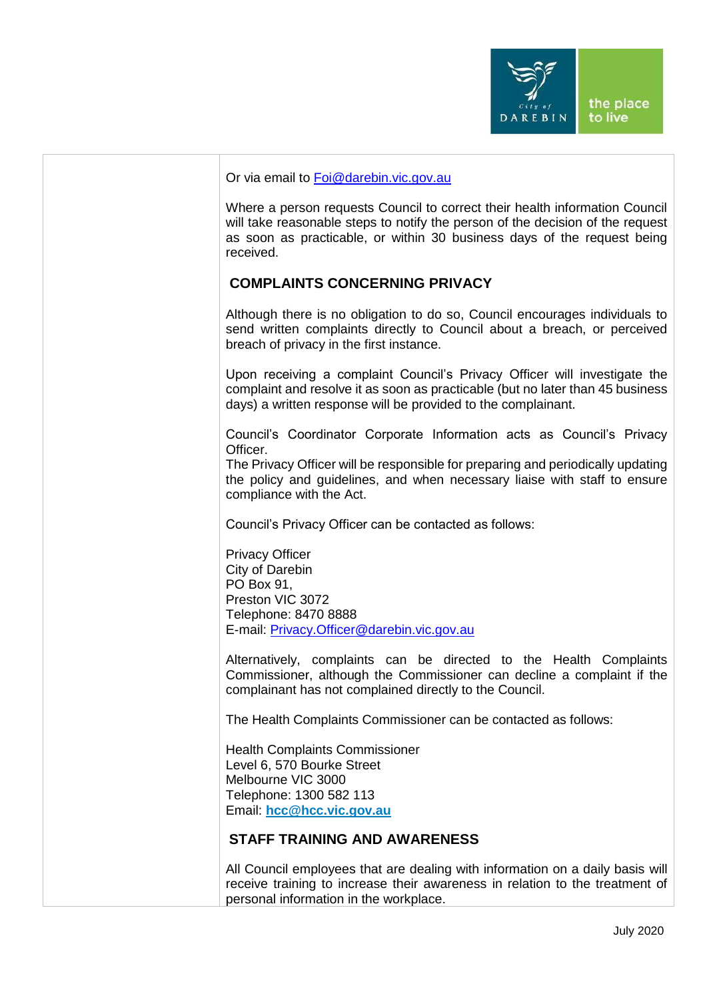

#### Or via email to [Foi@darebin.vic.gov.au](mailto:Foi@darebin.vic.gov.au)

Where a person requests Council to correct their health information Council will take reasonable steps to notify the person of the decision of the request as soon as practicable, or within 30 business days of the request being received.

# **COMPLAINTS CONCERNING PRIVACY**

Although there is no obligation to do so, Council encourages individuals to send written complaints directly to Council about a breach, or perceived breach of privacy in the first instance.

Upon receiving a complaint Council's Privacy Officer will investigate the complaint and resolve it as soon as practicable (but no later than 45 business days) a written response will be provided to the complainant.

Council's Coordinator Corporate Information acts as Council's Privacy Officer.

The Privacy Officer will be responsible for preparing and periodically updating the policy and guidelines, and when necessary liaise with staff to ensure compliance with the Act.

Council's Privacy Officer can be contacted as follows:

Privacy Officer City of Darebin PO Box 91, Preston VIC 3072 Telephone: 8470 8888 E-mail: [Privacy.Officer@darebin.vic.gov.au](mailto:Privacy.Officer@darebin.vic.gov.au)

Alternatively, complaints can be directed to the Health Complaints Commissioner, although the Commissioner can decline a complaint if the complainant has not complained directly to the Council.

The Health Complaints Commissioner can be contacted as follows:

Health Complaints Commissioner Level 6, 570 Bourke Street Melbourne VIC 3000 Telephone: 1300 582 113 Email: **[hcc@hcc.vic.gov.au](mailto:hcc@hcc.vic.gov.au)**

#### **STAFF TRAINING AND AWARENESS**

All Council employees that are dealing with information on a daily basis will receive training to increase their awareness in relation to the treatment of personal information in the workplace.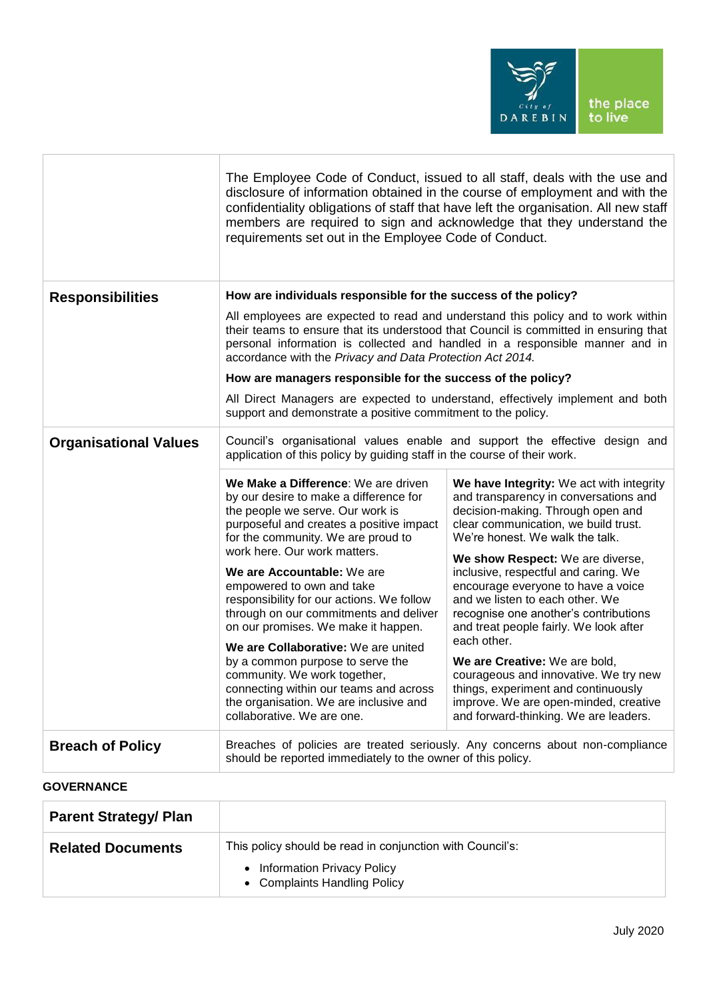

|                              | requirements set out in the Employee Code of Conduct.                                                                                                                                                                                                                                                                                                                                                                                                                                                                                                                                                                                                     | The Employee Code of Conduct, issued to all staff, deals with the use and<br>disclosure of information obtained in the course of employment and with the<br>confidentiality obligations of staff that have left the organisation. All new staff<br>members are required to sign and acknowledge that they understand the                                                                                                                                                                                                                                                                                                                                    |
|------------------------------|-----------------------------------------------------------------------------------------------------------------------------------------------------------------------------------------------------------------------------------------------------------------------------------------------------------------------------------------------------------------------------------------------------------------------------------------------------------------------------------------------------------------------------------------------------------------------------------------------------------------------------------------------------------|-------------------------------------------------------------------------------------------------------------------------------------------------------------------------------------------------------------------------------------------------------------------------------------------------------------------------------------------------------------------------------------------------------------------------------------------------------------------------------------------------------------------------------------------------------------------------------------------------------------------------------------------------------------|
| <b>Responsibilities</b>      | How are individuals responsible for the success of the policy?<br>accordance with the Privacy and Data Protection Act 2014.<br>How are managers responsible for the success of the policy?<br>support and demonstrate a positive commitment to the policy.                                                                                                                                                                                                                                                                                                                                                                                                | All employees are expected to read and understand this policy and to work within<br>their teams to ensure that its understood that Council is committed in ensuring that<br>personal information is collected and handled in a responsible manner and in<br>All Direct Managers are expected to understand, effectively implement and both                                                                                                                                                                                                                                                                                                                  |
| <b>Organisational Values</b> | application of this policy by guiding staff in the course of their work.                                                                                                                                                                                                                                                                                                                                                                                                                                                                                                                                                                                  | Council's organisational values enable and support the effective design and                                                                                                                                                                                                                                                                                                                                                                                                                                                                                                                                                                                 |
|                              | We Make a Difference: We are driven<br>by our desire to make a difference for<br>the people we serve. Our work is<br>purposeful and creates a positive impact<br>for the community. We are proud to<br>work here. Our work matters.<br>We are Accountable: We are<br>empowered to own and take<br>responsibility for our actions. We follow<br>through on our commitments and deliver<br>on our promises. We make it happen.<br>We are Collaborative: We are united<br>by a common purpose to serve the<br>community. We work together,<br>connecting within our teams and across<br>the organisation. We are inclusive and<br>collaborative. We are one. | We have Integrity: We act with integrity<br>and transparency in conversations and<br>decision-making. Through open and<br>clear communication, we build trust.<br>We're honest. We walk the talk.<br>We show Respect: We are diverse,<br>inclusive, respectful and caring. We<br>encourage everyone to have a voice<br>and we listen to each other. We<br>recognise one another's contributions<br>and treat people fairly. We look after<br>each other.<br>We are Creative: We are bold,<br>courageous and innovative. We try new<br>things, experiment and continuously<br>improve. We are open-minded, creative<br>and forward-thinking. We are leaders. |
| <b>Breach of Policy</b>      | should be reported immediately to the owner of this policy.                                                                                                                                                                                                                                                                                                                                                                                                                                                                                                                                                                                               | Breaches of policies are treated seriously. Any concerns about non-compliance                                                                                                                                                                                                                                                                                                                                                                                                                                                                                                                                                                               |
| <b>GOVERNANCE</b>            |                                                                                                                                                                                                                                                                                                                                                                                                                                                                                                                                                                                                                                                           |                                                                                                                                                                                                                                                                                                                                                                                                                                                                                                                                                                                                                                                             |

| <b>Parent Strategy/ Plan</b> |                                                                                |
|------------------------------|--------------------------------------------------------------------------------|
| <b>Related Documents</b>     | This policy should be read in conjunction with Council's:                      |
|                              | <b>Information Privacy Policy</b><br>$\bullet$<br>• Complaints Handling Policy |